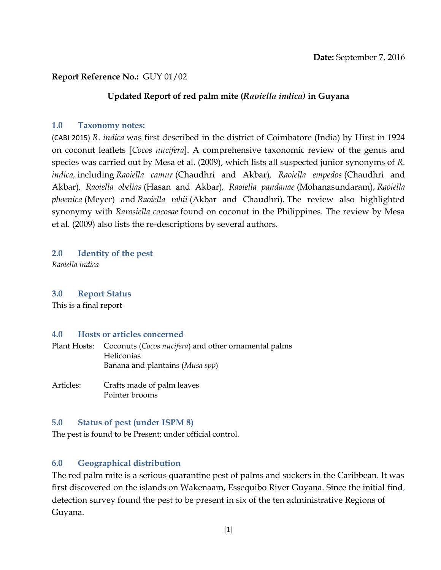### **Report Reference No.:** GUY 01/02

#### **Updated Report of red palm mite (***Raoiella indica)* **in Guyana**

#### **1.0 Taxonomy notes:**

(CABI 2015) *R. indica* was first described in the district of Coimbatore (India) by Hirst in 1924 on coconut leaflets [*Cocos nucifera*]. A comprehensive taxonomic review of the genus and species was carried out by Mesa et al*.* (2009), which lists all suspected junior synonyms of *R. indica,* including *Raoiella camur* (Chaudhri and Akbar)*, Raoiella empedos* (Chaudhri and Akbar)*, Raoiella obelias* (Hasan and Akbar)*, Raoiella pandanae* (Mohanasundaram), *Raoiella phoenica* (Meyer) and *Raoiella rahii* (Akbar and Chaudhri)*.* The review also highlighted synonymy with *Rarosiella cocosae* found on coconut in the Philippines. The review by Mesa et al*.* (2009) also lists the re-descriptions by several authors.

**2.0 Identity of the pest**

*Raoiella indica*

#### **3.0 Report Status**

This is a final report

#### **4.0 Hosts or articles concerned**

Plant Hosts: Coconuts (*Cocos nucifera*) and other ornamental palms Heliconias Banana and plantains (*Musa spp*)

Articles: Crafts made of palm leaves Pointer brooms

#### **5.0 Status of pest (under ISPM 8)**

The pest is found to be Present: under official control.

### **6.0 Geographical distribution**

The red palm mite is a serious quarantine pest of palms and suckers in the Caribbean. It was first discovered on the islands on Wakenaam, Essequibo River Guyana. Since the initial find, detection survey found the pest to be present in six of the ten administrative Regions of Guyana.